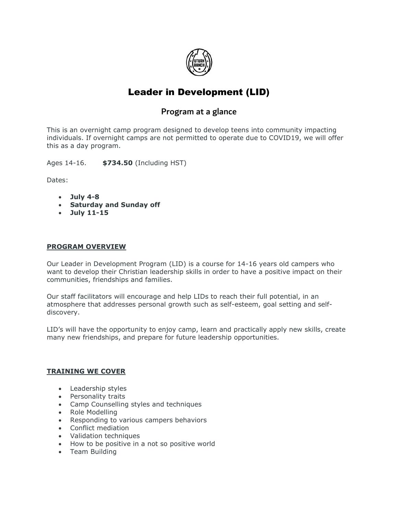

# Leader in Development (LID)

# Program at a glance

This is an overnight camp program designed to develop teens into community impacting individuals. If overnight camps are not permitted to operate due to COVID19, we will offer this as a day program.

Ages 14-16. **\$734.50** (Including HST)

Dates:

- **July 4-8**
- **Saturday and Sunday off**
- **July 11-15**

#### **PROGRAM OVERVIEW**

Our Leader in Development Program (LID) is a course for 14-16 years old campers who want to develop their Christian leadership skills in order to have a positive impact on their communities, friendships and families.

Our staff facilitators will encourage and help LIDs to reach their full potential, in an atmosphere that addresses personal growth such as self-esteem, goal setting and selfdiscovery.

LID's will have the opportunity to enjoy camp, learn and practically apply new skills, create many new friendships, and prepare for future leadership opportunities.

#### **TRAINING WE COVER**

- Leadership styles
- Personality traits
- Camp Counselling styles and techniques
- Role Modelling
- Responding to various campers behaviors
- Conflict mediation
- Validation techniques
- How to be positive in a not so positive world
- Team Building